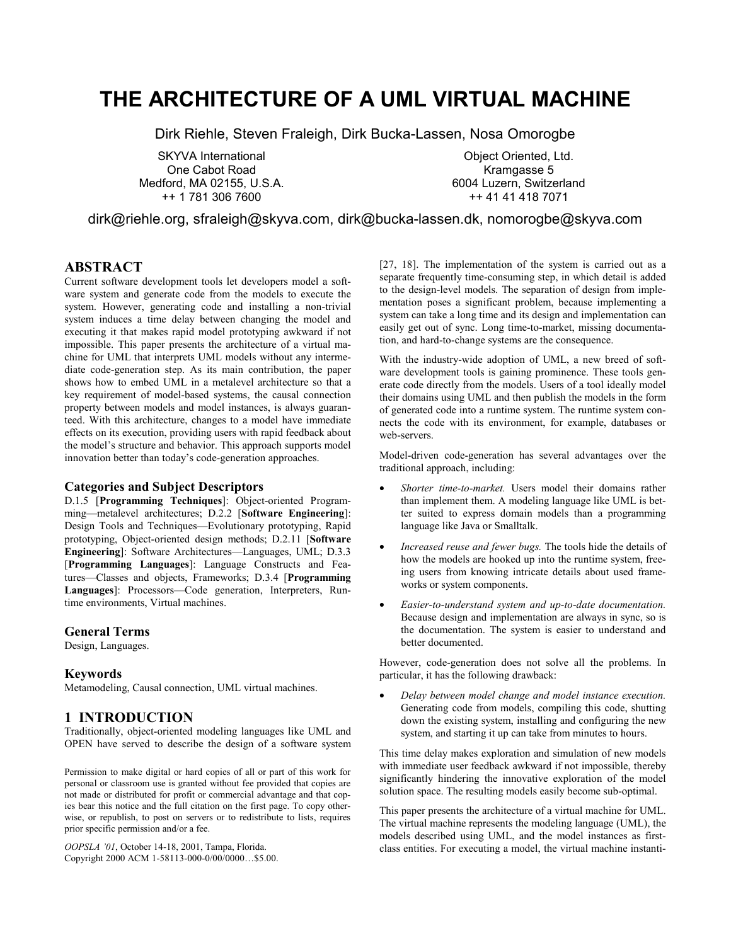# **THE ARCHITECTURE OF A UML VIRTUAL MACHINE**

Dirk Riehle, Steven Fraleigh, Dirk Bucka-Lassen, Nosa Omorogbe

SKYVA International One Cabot Road Medford, MA 02155, U.S.A. ++ 1 781 306 7600

Object Oriented, Ltd. Kramgasse 5 6004 Luzern, Switzerland ++ 41 41 418 7071

dirk@riehle.org, sfraleigh@skyva.com, dirk@bucka-lassen.dk, nomorogbe@skyva.com

# **ABSTRACT**

Current software development tools let developers model a software system and generate code from the models to execute the system. However, generating code and installing a non-trivial system induces a time delay between changing the model and executing it that makes rapid model prototyping awkward if not impossible. This paper presents the architecture of a virtual machine for UML that interprets UML models without any intermediate code-generation step. As its main contribution, the paper shows how to embed UML in a metalevel architecture so that a key requirement of model-based systems, the causal connection property between models and model instances, is always guaranteed. With this architecture, changes to a model have immediate effects on its execution, providing users with rapid feedback about the model's structure and behavior. This approach supports model innovation better than today's code-generation approaches.

### **Categories and Subject Descriptors**

D.1.5 [**Programming Techniques**]: Object-oriented Programming—metalevel architectures; D.2.2 [**Software Engineering**]: Design Tools and Techniques—Evolutionary prototyping, Rapid prototyping, Object-oriented design methods; D.2.11 [**Software Engineering**]: Software Architectures—Languages, UML; D.3.3 [**Programming Languages**]: Language Constructs and Features—Classes and objects, Frameworks; D.3.4 [**Programming Languages**]: Processors—Code generation, Interpreters, Runtime environments, Virtual machines.

### **General Terms**

Design, Languages.

#### **Keywords**

Metamodeling, Causal connection, UML virtual machines.

# **1 INTRODUCTION**

Traditionally, object-oriented modeling languages like UML and OPEN have served to describe the design of a software system

Permission to make digital or hard copies of all or part of this work for personal or classroom use is granted without fee provided that copies are not made or distributed for profit or commercial advantage and that copies bear this notice and the full citation on the first page. To copy otherwise, or republish, to post on servers or to redistribute to lists, requires prior specific permission and/or a fee.

*OOPSLA '01*, October 14-18, 2001, Tampa, Florida. Copyright 2000 ACM 1-58113-000-0/00/0000…\$5.00.

[27, 18]. The implementation of the system is carried out as a separate frequently time-consuming step, in which detail is added to the design-level models. The separation of design from implementation poses a significant problem, because implementing a system can take a long time and its design and implementation can easily get out of sync. Long time-to-market, missing documentation, and hard-to-change systems are the consequence.

With the industry-wide adoption of UML, a new breed of software development tools is gaining prominence. These tools generate code directly from the models. Users of a tool ideally model their domains using UML and then publish the models in the form of generated code into a runtime system. The runtime system connects the code with its environment, for example, databases or web-servers.

Model-driven code-generation has several advantages over the traditional approach, including:

- *Shorter time-to-market.* Users model their domains rather than implement them. A modeling language like UML is better suited to express domain models than a programming language like Java or Smalltalk.
- *Increased reuse and fewer bugs.* The tools hide the details of how the models are hooked up into the runtime system, freeing users from knowing intricate details about used frameworks or system components.
- *Easier-to-understand system and up-to-date documentation.* Because design and implementation are always in sync, so is the documentation. The system is easier to understand and better documented.

However, code-generation does not solve all the problems. In particular, it has the following drawback:

• *Delay between model change and model instance execution.* Generating code from models, compiling this code, shutting down the existing system, installing and configuring the new system, and starting it up can take from minutes to hours.

This time delay makes exploration and simulation of new models with immediate user feedback awkward if not impossible, thereby significantly hindering the innovative exploration of the model solution space. The resulting models easily become sub-optimal.

This paper presents the architecture of a virtual machine for UML. The virtual machine represents the modeling language (UML), the models described using UML, and the model instances as firstclass entities. For executing a model, the virtual machine instanti-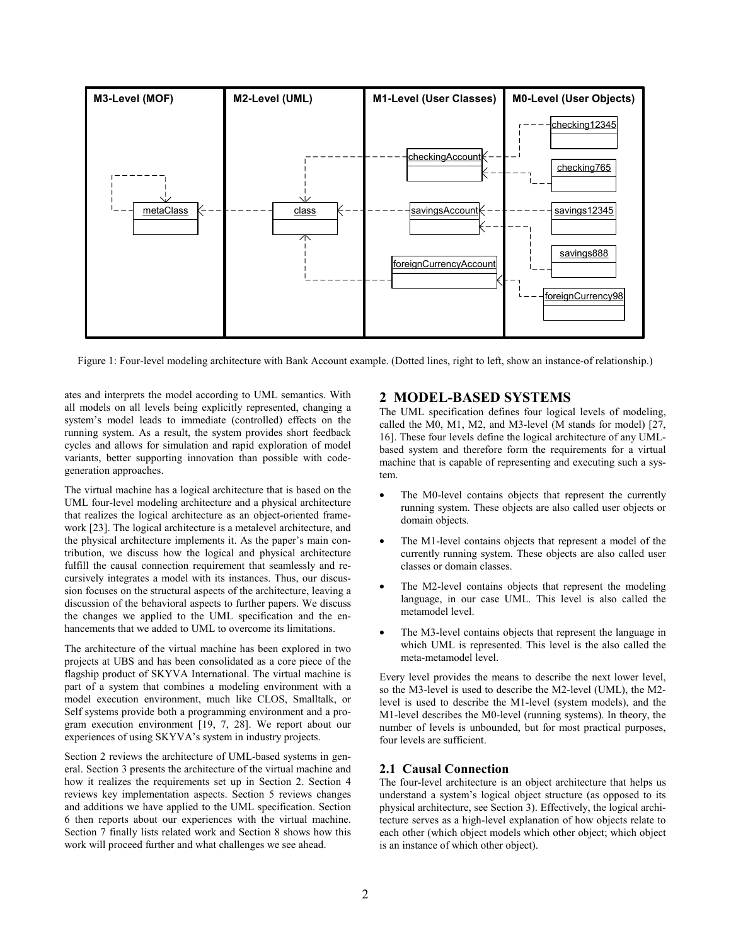

Figure 1: Four-level modeling architecture with Bank Account example. (Dotted lines, right to left, show an instance-of relationship.)

ates and interprets the model according to UML semantics. With all models on all levels being explicitly represented, changing a system's model leads to immediate (controlled) effects on the running system. As a result, the system provides short feedback cycles and allows for simulation and rapid exploration of model variants, better supporting innovation than possible with codegeneration approaches.

The virtual machine has a logical architecture that is based on the UML four-level modeling architecture and a physical architecture that realizes the logical architecture as an object-oriented framework [23]. The logical architecture is a metalevel architecture, and the physical architecture implements it. As the paper's main contribution, we discuss how the logical and physical architecture fulfill the causal connection requirement that seamlessly and recursively integrates a model with its instances. Thus, our discussion focuses on the structural aspects of the architecture, leaving a discussion of the behavioral aspects to further papers. We discuss the changes we applied to the UML specification and the enhancements that we added to UML to overcome its limitations.

The architecture of the virtual machine has been explored in two projects at UBS and has been consolidated as a core piece of the flagship product of SKYVA International. The virtual machine is part of a system that combines a modeling environment with a model execution environment, much like CLOS, Smalltalk, or Self systems provide both a programming environment and a program execution environment [19, 7, 28]. We report about our experiences of using SKYVA's system in industry projects.

Section 2 reviews the architecture of UML-based systems in general. Section 3 presents the architecture of the virtual machine and how it realizes the requirements set up in Section 2. Section 4 reviews key implementation aspects. Section 5 reviews changes and additions we have applied to the UML specification. Section 6 then reports about our experiences with the virtual machine. Section 7 finally lists related work and Section 8 shows how this work will proceed further and what challenges we see ahead.

# **2 MODEL-BASED SYSTEMS**

The UML specification defines four logical levels of modeling, called the M0, M1, M2, and M3-level (M stands for model) [27, 16]. These four levels define the logical architecture of any UMLbased system and therefore form the requirements for a virtual machine that is capable of representing and executing such a system.

- The M0-level contains objects that represent the currently running system. These objects are also called user objects or domain objects.
- The M1-level contains objects that represent a model of the currently running system. These objects are also called user classes or domain classes.
- The M2-level contains objects that represent the modeling language, in our case UML. This level is also called the metamodel level.
- The M3-level contains objects that represent the language in which UML is represented. This level is the also called the meta-metamodel level.

Every level provides the means to describe the next lower level, so the M3-level is used to describe the M2-level (UML), the M2 level is used to describe the M1-level (system models), and the M1-level describes the M0-level (running systems). In theory, the number of levels is unbounded, but for most practical purposes, four levels are sufficient.

# **2.1 Causal Connection**

The four-level architecture is an object architecture that helps us understand a system's logical object structure (as opposed to its physical architecture, see Section 3). Effectively, the logical architecture serves as a high-level explanation of how objects relate to each other (which object models which other object; which object is an instance of which other object).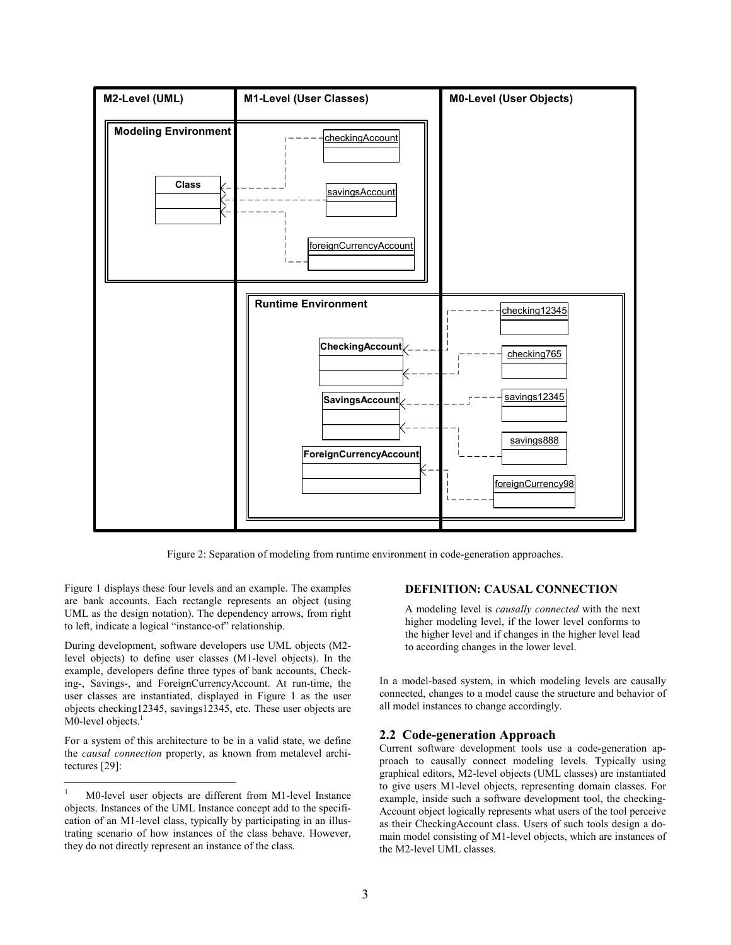

Figure 2: Separation of modeling from runtime environment in code-generation approaches.

Figure 1 displays these four levels and an example. The examples are bank accounts. Each rectangle represents an object (using UML as the design notation). The dependency arrows, from right to left, indicate a logical "instance-of" relationship.

During development, software developers use UML objects (M2 level objects) to define user classes (M1-level objects). In the example, developers define three types of bank accounts, Checking-, Savings-, and ForeignCurrencyAccount. At run-time, the user classes are instantiated, displayed in Figure 1 as the user objects checking12345, savings12345, etc. These user objects are M0-level objects. $<sup>1</sup>$ </sup>

For a system of this architecture to be in a valid state, we define the *causal connection* property, as known from metalevel architectures [29]:

l

### **DEFINITION: CAUSAL CONNECTION**

A modeling level is *causally connected* with the next higher modeling level, if the lower level conforms to the higher level and if changes in the higher level lead to according changes in the lower level.

In a model-based system, in which modeling levels are causally connected, changes to a model cause the structure and behavior of all model instances to change accordingly.

# **2.2 Code-generation Approach**

Current software development tools use a code-generation approach to causally connect modeling levels. Typically using graphical editors, M2-level objects (UML classes) are instantiated to give users M1-level objects, representing domain classes. For example, inside such a software development tool, the checking-Account object logically represents what users of the tool perceive as their CheckingAccount class. Users of such tools design a domain model consisting of M1-level objects, which are instances of the M2-level UML classes.

<sup>1</sup> M0-level user objects are different from M1-level Instance objects. Instances of the UML Instance concept add to the specification of an M1-level class, typically by participating in an illustrating scenario of how instances of the class behave. However, they do not directly represent an instance of the class.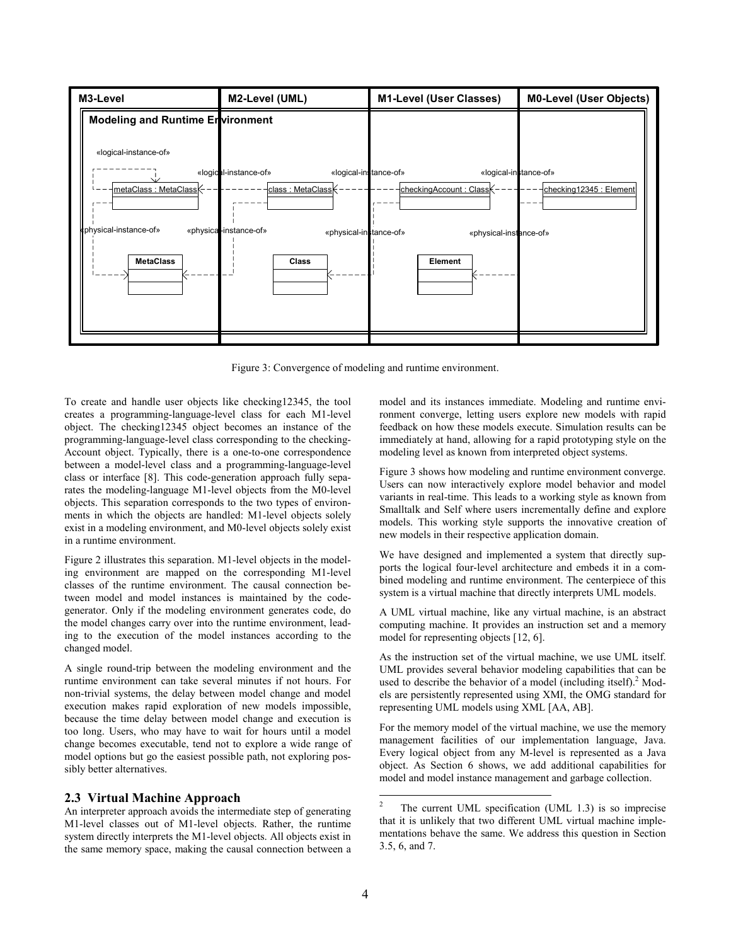

Figure 3: Convergence of modeling and runtime environment.

To create and handle user objects like checking12345, the tool creates a programming-language-level class for each M1-level object. The checking12345 object becomes an instance of the programming-language-level class corresponding to the checking-Account object. Typically, there is a one-to-one correspondence between a model-level class and a programming-language-level class or interface [8]. This code-generation approach fully separates the modeling-language M1-level objects from the M0-level objects. This separation corresponds to the two types of environments in which the objects are handled: M1-level objects solely exist in a modeling environment, and M0-level objects solely exist in a runtime environment.

Figure 2 illustrates this separation. M1-level objects in the modeling environment are mapped on the corresponding M1-level classes of the runtime environment. The causal connection between model and model instances is maintained by the codegenerator. Only if the modeling environment generates code, do the model changes carry over into the runtime environment, leading to the execution of the model instances according to the changed model.

A single round-trip between the modeling environment and the runtime environment can take several minutes if not hours. For non-trivial systems, the delay between model change and model execution makes rapid exploration of new models impossible, because the time delay between model change and execution is too long. Users, who may have to wait for hours until a model change becomes executable, tend not to explore a wide range of model options but go the easiest possible path, not exploring possibly better alternatives.

### **2.3 Virtual Machine Approach**

An interpreter approach avoids the intermediate step of generating M1-level classes out of M1-level objects. Rather, the runtime system directly interprets the M1-level objects. All objects exist in the same memory space, making the causal connection between a

model and its instances immediate. Modeling and runtime environment converge, letting users explore new models with rapid feedback on how these models execute. Simulation results can be immediately at hand, allowing for a rapid prototyping style on the modeling level as known from interpreted object systems.

Figure 3 shows how modeling and runtime environment converge. Users can now interactively explore model behavior and model variants in real-time. This leads to a working style as known from Smalltalk and Self where users incrementally define and explore models. This working style supports the innovative creation of new models in their respective application domain.

We have designed and implemented a system that directly supports the logical four-level architecture and embeds it in a combined modeling and runtime environment. The centerpiece of this system is a virtual machine that directly interprets UML models.

A UML virtual machine, like any virtual machine, is an abstract computing machine. It provides an instruction set and a memory model for representing objects [12, 6].

As the instruction set of the virtual machine, we use UML itself. UML provides several behavior modeling capabilities that can be used to describe the behavior of a model (including itself). $^2$  Models are persistently represented using XMI, the OMG standard for representing UML models using XML [AA, AB].

For the memory model of the virtual machine, we use the memory management facilities of our implementation language, Java. Every logical object from any M-level is represented as a Java object. As Section 6 shows, we add additional capabilities for model and model instance management and garbage collection.

 $\frac{1}{2}$  The current UML specification (UML 1.3) is so imprecise that it is unlikely that two different UML virtual machine implementations behave the same. We address this question in Section 3.5, 6, and 7.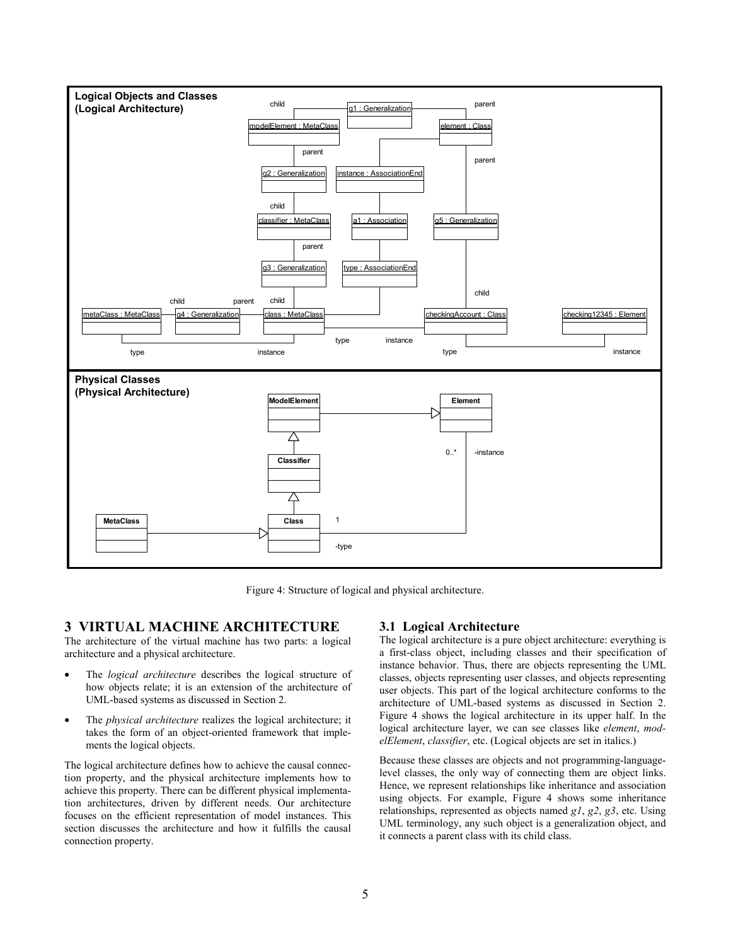

Figure 4: Structure of logical and physical architecture.

# **3 VIRTUAL MACHINE ARCHITECTURE**

The architecture of the virtual machine has two parts: a logical architecture and a physical architecture.

- The *logical architecture* describes the logical structure of how objects relate; it is an extension of the architecture of UML-based systems as discussed in Section 2.
- The *physical architecture* realizes the logical architecture; it takes the form of an object-oriented framework that implements the logical objects.

The logical architecture defines how to achieve the causal connection property, and the physical architecture implements how to achieve this property. There can be different physical implementation architectures, driven by different needs. Our architecture focuses on the efficient representation of model instances. This section discusses the architecture and how it fulfills the causal connection property.

### **3.1 Logical Architecture**

The logical architecture is a pure object architecture: everything is a first-class object, including classes and their specification of instance behavior. Thus, there are objects representing the UML classes, objects representing user classes, and objects representing user objects. This part of the logical architecture conforms to the architecture of UML-based systems as discussed in Section 2. Figure 4 shows the logical architecture in its upper half. In the logical architecture layer, we can see classes like *element*, *modelElement*, *classifier*, etc. (Logical objects are set in italics.)

Because these classes are objects and not programming-languagelevel classes, the only way of connecting them are object links. Hence, we represent relationships like inheritance and association using objects. For example, Figure 4 shows some inheritance relationships, represented as objects named *g1*, *g2*, *g3*, etc. Using UML terminology, any such object is a generalization object, and it connects a parent class with its child class.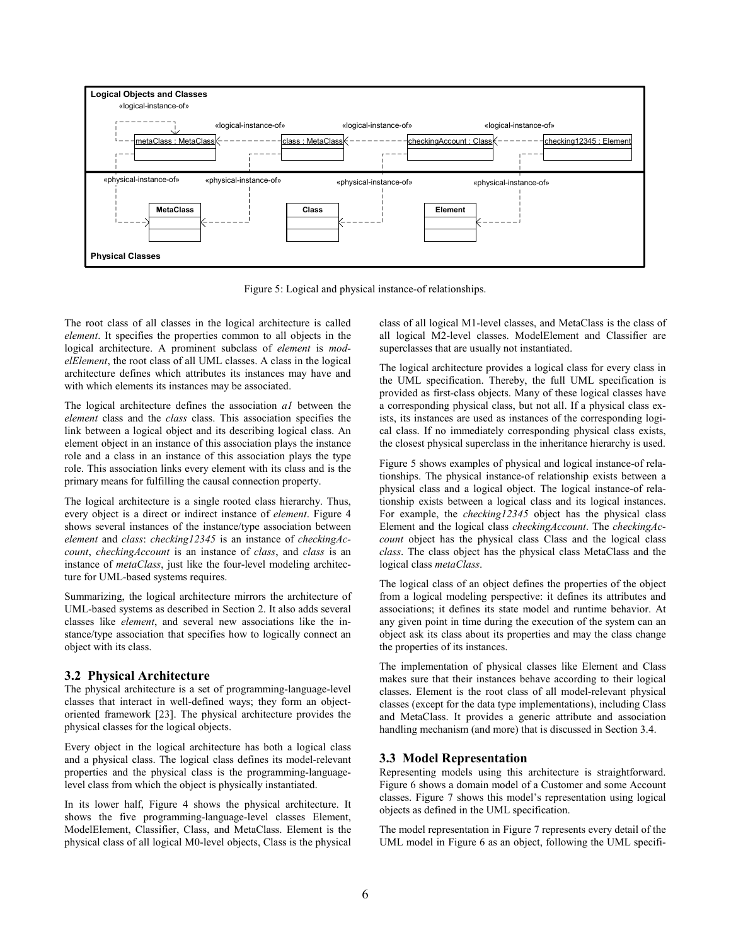

Figure 5: Logical and physical instance-of relationships.

The root class of all classes in the logical architecture is called *element*. It specifies the properties common to all objects in the logical architecture. A prominent subclass of *element* is *modelElement*, the root class of all UML classes. A class in the logical architecture defines which attributes its instances may have and with which elements its instances may be associated.

The logical architecture defines the association *a1* between the *element* class and the *class* class. This association specifies the link between a logical object and its describing logical class. An element object in an instance of this association plays the instance role and a class in an instance of this association plays the type role. This association links every element with its class and is the primary means for fulfilling the causal connection property.

The logical architecture is a single rooted class hierarchy. Thus, every object is a direct or indirect instance of *element*. Figure 4 shows several instances of the instance/type association between *element* and *class*: *checking12345* is an instance of *checkingAccount*, *checkingAccount* is an instance of *class*, and *class* is an instance of *metaClass*, just like the four-level modeling architecture for UML-based systems requires.

Summarizing, the logical architecture mirrors the architecture of UML-based systems as described in Section 2. It also adds several classes like *element*, and several new associations like the instance/type association that specifies how to logically connect an object with its class.

# **3.2 Physical Architecture**

The physical architecture is a set of programming-language-level classes that interact in well-defined ways; they form an objectoriented framework [23]. The physical architecture provides the physical classes for the logical objects.

Every object in the logical architecture has both a logical class and a physical class. The logical class defines its model-relevant properties and the physical class is the programming-languagelevel class from which the object is physically instantiated.

In its lower half, Figure 4 shows the physical architecture. It shows the five programming-language-level classes Element, ModelElement, Classifier, Class, and MetaClass. Element is the physical class of all logical M0-level objects, Class is the physical

class of all logical M1-level classes, and MetaClass is the class of all logical M2-level classes. ModelElement and Classifier are superclasses that are usually not instantiated.

The logical architecture provides a logical class for every class in the UML specification. Thereby, the full UML specification is provided as first-class objects. Many of these logical classes have a corresponding physical class, but not all. If a physical class exists, its instances are used as instances of the corresponding logical class. If no immediately corresponding physical class exists, the closest physical superclass in the inheritance hierarchy is used.

Figure 5 shows examples of physical and logical instance-of relationships. The physical instance-of relationship exists between a physical class and a logical object. The logical instance-of relationship exists between a logical class and its logical instances. For example, the *checking12345* object has the physical class Element and the logical class *checkingAccount*. The *checkingAccount* object has the physical class Class and the logical class *class*. The class object has the physical class MetaClass and the logical class *metaClass*.

The logical class of an object defines the properties of the object from a logical modeling perspective: it defines its attributes and associations; it defines its state model and runtime behavior. At any given point in time during the execution of the system can an object ask its class about its properties and may the class change the properties of its instances.

The implementation of physical classes like Element and Class makes sure that their instances behave according to their logical classes. Element is the root class of all model-relevant physical classes (except for the data type implementations), including Class and MetaClass. It provides a generic attribute and association handling mechanism (and more) that is discussed in Section 3.4.

# **3.3 Model Representation**

Representing models using this architecture is straightforward. Figure 6 shows a domain model of a Customer and some Account classes. Figure 7 shows this model's representation using logical objects as defined in the UML specification.

The model representation in Figure 7 represents every detail of the UML model in Figure 6 as an object, following the UML specifi-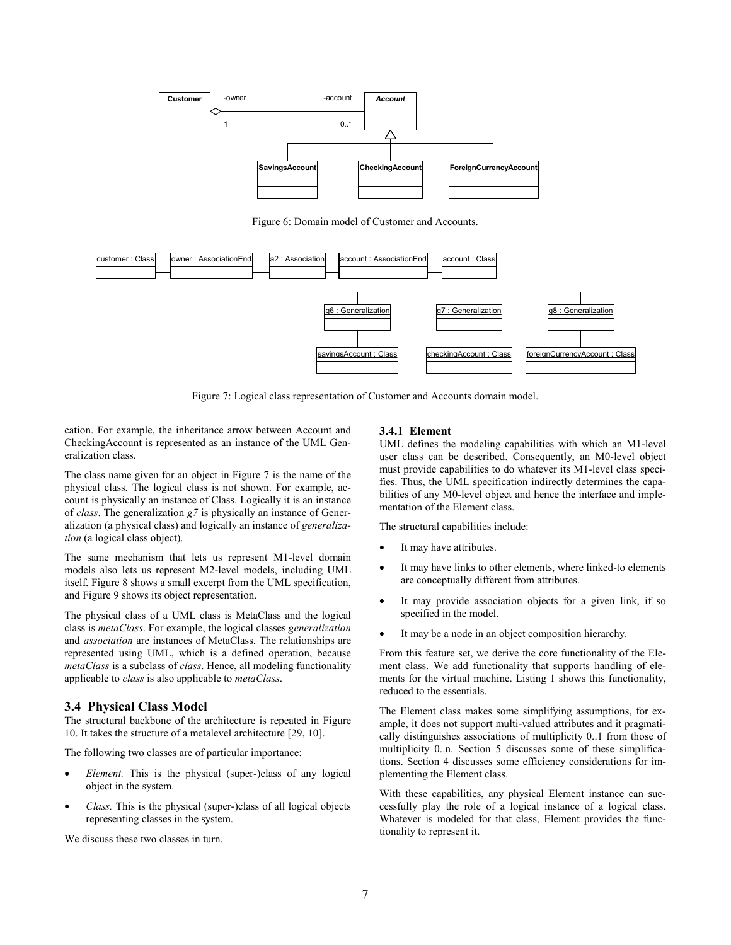

Figure 6: Domain model of Customer and Accounts.



Figure 7: Logical class representation of Customer and Accounts domain model.

cation. For example, the inheritance arrow between Account and CheckingAccount is represented as an instance of the UML Generalization class.

The class name given for an object in Figure 7 is the name of the physical class. The logical class is not shown. For example, account is physically an instance of Class. Logically it is an instance of *class*. The generalization *g7* is physically an instance of Generalization (a physical class) and logically an instance of *generalization* (a logical class object).

The same mechanism that lets us represent M1-level domain models also lets us represent M2-level models, including UML itself. Figure 8 shows a small excerpt from the UML specification, and Figure 9 shows its object representation.

The physical class of a UML class is MetaClass and the logical class is *metaClass*. For example, the logical classes *generalization* and *association* are instances of MetaClass. The relationships are represented using UML, which is a defined operation, because *metaClass* is a subclass of *class*. Hence, all modeling functionality applicable to *class* is also applicable to *metaClass*.

### **3.4 Physical Class Model**

The structural backbone of the architecture is repeated in Figure 10. It takes the structure of a metalevel architecture [29, 10].

The following two classes are of particular importance:

- *Element.* This is the physical (super-)class of any logical object in the system.
- *Class.* This is the physical (super-)class of all logical objects representing classes in the system.

We discuss these two classes in turn.

#### **3.4.1 Element**

UML defines the modeling capabilities with which an M1-level user class can be described. Consequently, an M0-level object must provide capabilities to do whatever its M1-level class specifies. Thus, the UML specification indirectly determines the capabilities of any M0-level object and hence the interface and implementation of the Element class.

The structural capabilities include:

- It may have attributes.
- It may have links to other elements, where linked-to elements are conceptually different from attributes.
- It may provide association objects for a given link, if so specified in the model.
- It may be a node in an object composition hierarchy.

From this feature set, we derive the core functionality of the Element class. We add functionality that supports handling of elements for the virtual machine. Listing 1 shows this functionality, reduced to the essentials.

The Element class makes some simplifying assumptions, for example, it does not support multi-valued attributes and it pragmatically distinguishes associations of multiplicity 0..1 from those of multiplicity 0..n. Section 5 discusses some of these simplifications. Section 4 discusses some efficiency considerations for implementing the Element class.

With these capabilities, any physical Element instance can successfully play the role of a logical instance of a logical class. Whatever is modeled for that class, Element provides the functionality to represent it.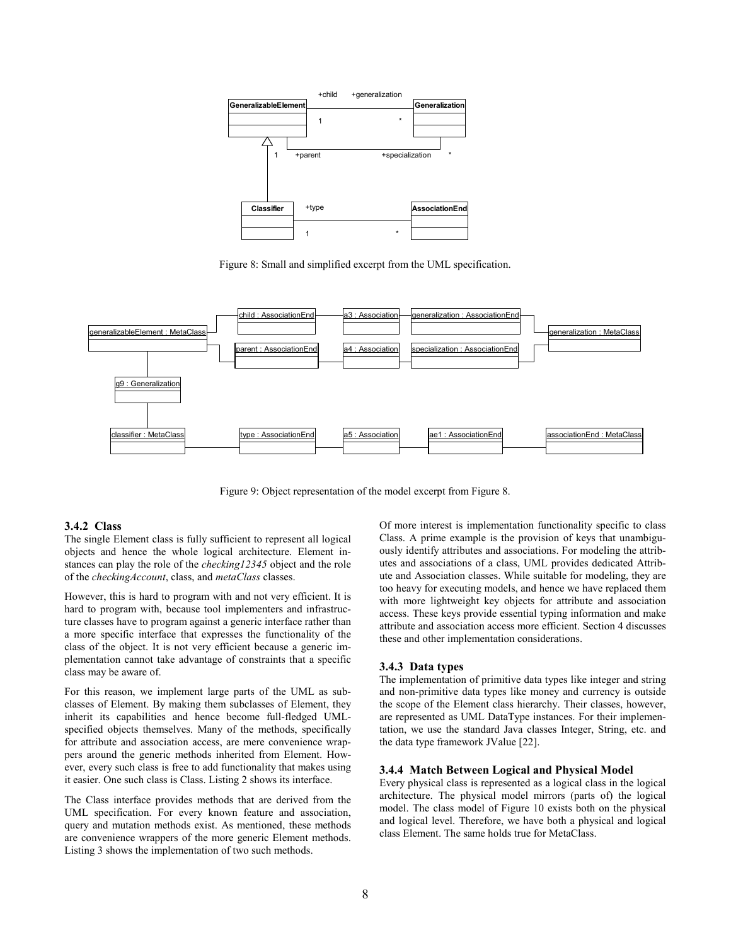

Figure 8: Small and simplified excerpt from the UML specification.



Figure 9: Object representation of the model excerpt from Figure 8.

#### **3.4.2 Class**

The single Element class is fully sufficient to represent all logical objects and hence the whole logical architecture. Element instances can play the role of the *checking12345* object and the role of the *checkingAccount*, class, and *metaClass* classes.

However, this is hard to program with and not very efficient. It is hard to program with, because tool implementers and infrastructure classes have to program against a generic interface rather than a more specific interface that expresses the functionality of the class of the object. It is not very efficient because a generic implementation cannot take advantage of constraints that a specific class may be aware of.

For this reason, we implement large parts of the UML as subclasses of Element. By making them subclasses of Element, they inherit its capabilities and hence become full-fledged UMLspecified objects themselves. Many of the methods, specifically for attribute and association access, are mere convenience wrappers around the generic methods inherited from Element. However, every such class is free to add functionality that makes using it easier. One such class is Class. Listing 2 shows its interface.

The Class interface provides methods that are derived from the UML specification. For every known feature and association, query and mutation methods exist. As mentioned, these methods are convenience wrappers of the more generic Element methods. Listing 3 shows the implementation of two such methods.

Of more interest is implementation functionality specific to class Class. A prime example is the provision of keys that unambiguously identify attributes and associations. For modeling the attributes and associations of a class, UML provides dedicated Attribute and Association classes. While suitable for modeling, they are too heavy for executing models, and hence we have replaced them with more lightweight key objects for attribute and association access. These keys provide essential typing information and make attribute and association access more efficient. Section 4 discusses these and other implementation considerations.

#### **3.4.3 Data types**

The implementation of primitive data types like integer and string and non-primitive data types like money and currency is outside the scope of the Element class hierarchy. Their classes, however, are represented as UML DataType instances. For their implementation, we use the standard Java classes Integer, String, etc. and the data type framework JValue [22].

#### **3.4.4 Match Between Logical and Physical Model**

Every physical class is represented as a logical class in the logical architecture. The physical model mirrors (parts of) the logical model. The class model of Figure 10 exists both on the physical and logical level. Therefore, we have both a physical and logical class Element. The same holds true for MetaClass.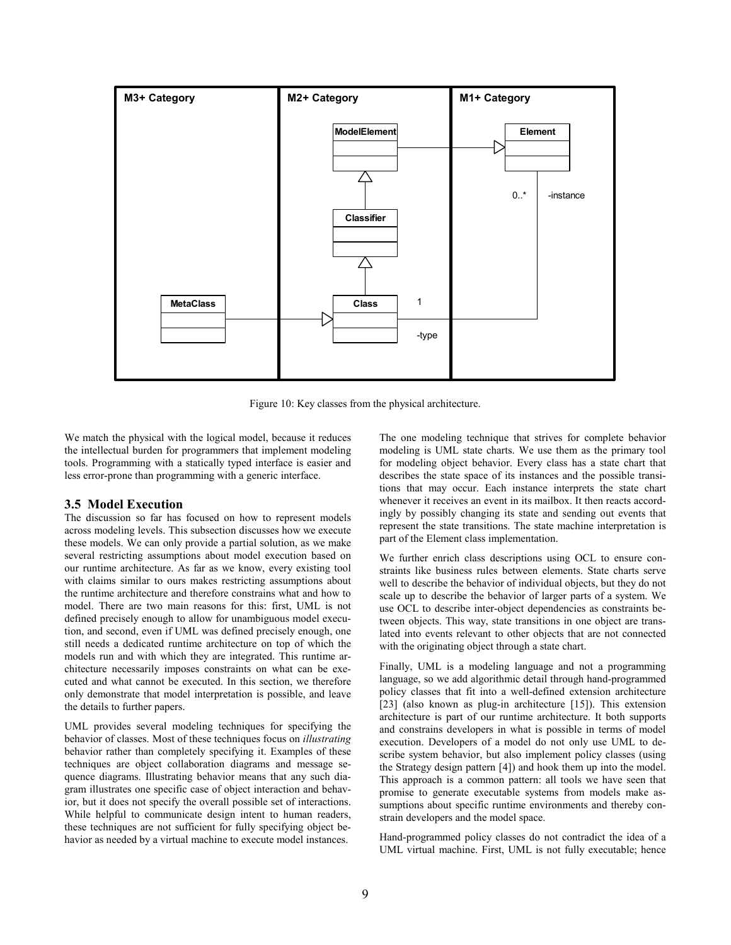

Figure 10: Key classes from the physical architecture.

We match the physical with the logical model, because it reduces the intellectual burden for programmers that implement modeling tools. Programming with a statically typed interface is easier and less error-prone than programming with a generic interface.

### **3.5 Model Execution**

The discussion so far has focused on how to represent models across modeling levels. This subsection discusses how we execute these models. We can only provide a partial solution, as we make several restricting assumptions about model execution based on our runtime architecture. As far as we know, every existing tool with claims similar to ours makes restricting assumptions about the runtime architecture and therefore constrains what and how to model. There are two main reasons for this: first, UML is not defined precisely enough to allow for unambiguous model execution, and second, even if UML was defined precisely enough, one still needs a dedicated runtime architecture on top of which the models run and with which they are integrated. This runtime architecture necessarily imposes constraints on what can be executed and what cannot be executed. In this section, we therefore only demonstrate that model interpretation is possible, and leave the details to further papers.

UML provides several modeling techniques for specifying the behavior of classes. Most of these techniques focus on *illustrating* behavior rather than completely specifying it. Examples of these techniques are object collaboration diagrams and message sequence diagrams. Illustrating behavior means that any such diagram illustrates one specific case of object interaction and behavior, but it does not specify the overall possible set of interactions. While helpful to communicate design intent to human readers, these techniques are not sufficient for fully specifying object behavior as needed by a virtual machine to execute model instances.

The one modeling technique that strives for complete behavior modeling is UML state charts. We use them as the primary tool for modeling object behavior. Every class has a state chart that describes the state space of its instances and the possible transitions that may occur. Each instance interprets the state chart whenever it receives an event in its mailbox. It then reacts accordingly by possibly changing its state and sending out events that represent the state transitions. The state machine interpretation is part of the Element class implementation.

We further enrich class descriptions using OCL to ensure constraints like business rules between elements. State charts serve well to describe the behavior of individual objects, but they do not scale up to describe the behavior of larger parts of a system. We use OCL to describe inter-object dependencies as constraints between objects. This way, state transitions in one object are translated into events relevant to other objects that are not connected with the originating object through a state chart.

Finally, UML is a modeling language and not a programming language, so we add algorithmic detail through hand-programmed policy classes that fit into a well-defined extension architecture [23] (also known as plug-in architecture [15]). This extension architecture is part of our runtime architecture. It both supports and constrains developers in what is possible in terms of model execution. Developers of a model do not only use UML to describe system behavior, but also implement policy classes (using the Strategy design pattern [4]) and hook them up into the model. This approach is a common pattern: all tools we have seen that promise to generate executable systems from models make assumptions about specific runtime environments and thereby constrain developers and the model space.

Hand-programmed policy classes do not contradict the idea of a UML virtual machine. First, UML is not fully executable; hence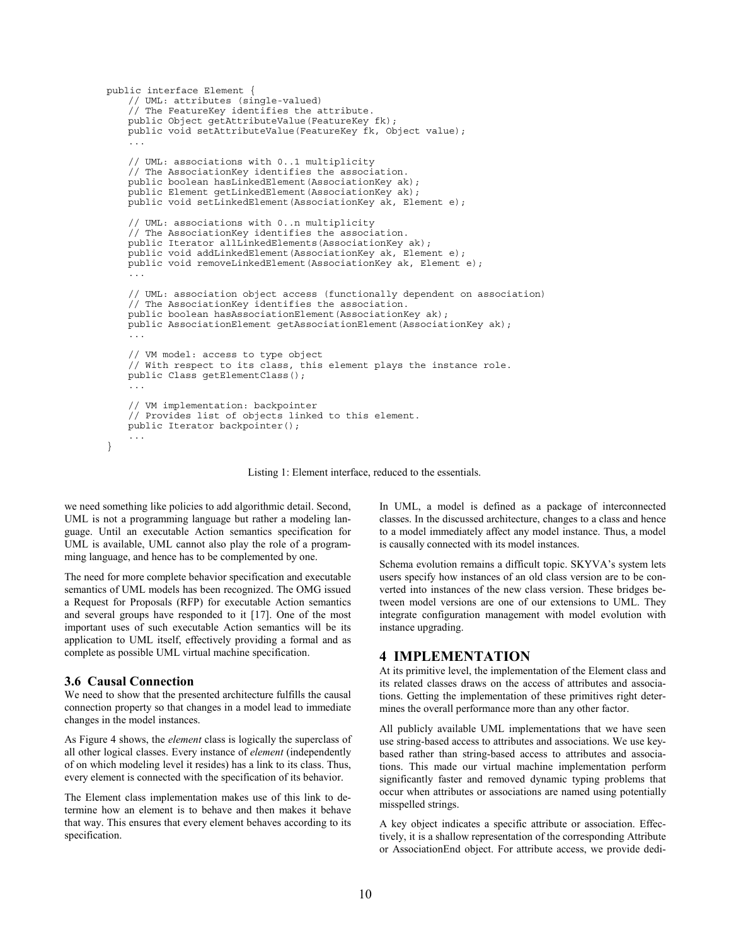```
public interface Element {
    // UML: attributes (single-valued)
    // The FeatureKey identifies the attribute.
   public Object getAttributeValue(FeatureKey fk);
   public void setAttributeValue(FeatureKey fk, Object value);
    ...
    // UML: associations with 0..1 multiplicity
    // The AssociationKey identifies the association.
   public boolean hasLinkedElement (AssociationKey ak);
   public Element getLinkedElement (AssociationKey ak);
   public void setLinkedElement (AssociationKey ak, Element e);
    // UML: associations with 0..n multiplicity
    // The AssociationKey identifies the association.
   public Iterator allLinkedElements (AssociationKey ak);
   public void addLinkedElement(AssociationKey ak, Element e);
   public void removeLinkedElement(AssociationKey ak, Element e);
    ...
    // UML: association object access (functionally dependent on association)
    // The AssociationKey identifies the association.
   public boolean hasAssociationElement(AssociationKey ak);
   public AssociationElement getAssociationElement(AssociationKey ak);
    ...
    // VM model: access to type object
    // With respect to its class, this element plays the instance role.
   public Class getElementClass();
    ...
    // VM implementation: backpointer
    // Provides list of objects linked to this element.
   public Iterator backpointer();
    ...
}
```
Listing 1: Element interface, reduced to the essentials.

we need something like policies to add algorithmic detail. Second, UML is not a programming language but rather a modeling language. Until an executable Action semantics specification for UML is available, UML cannot also play the role of a programming language, and hence has to be complemented by one.

The need for more complete behavior specification and executable semantics of UML models has been recognized. The OMG issued a Request for Proposals (RFP) for executable Action semantics and several groups have responded to it [17]. One of the most important uses of such executable Action semantics will be its application to UML itself, effectively providing a formal and as complete as possible UML virtual machine specification.

### **3.6 Causal Connection**

We need to show that the presented architecture fulfills the causal connection property so that changes in a model lead to immediate changes in the model instances.

As Figure 4 shows, the *element* class is logically the superclass of all other logical classes. Every instance of *element* (independently of on which modeling level it resides) has a link to its class. Thus, every element is connected with the specification of its behavior.

The Element class implementation makes use of this link to determine how an element is to behave and then makes it behave that way. This ensures that every element behaves according to its specification.

In UML, a model is defined as a package of interconnected classes. In the discussed architecture, changes to a class and hence to a model immediately affect any model instance. Thus, a model is causally connected with its model instances.

Schema evolution remains a difficult topic. SKYVA's system lets users specify how instances of an old class version are to be converted into instances of the new class version. These bridges between model versions are one of our extensions to UML. They integrate configuration management with model evolution with instance upgrading.

### **4 IMPLEMENTATION**

At its primitive level, the implementation of the Element class and its related classes draws on the access of attributes and associations. Getting the implementation of these primitives right determines the overall performance more than any other factor.

All publicly available UML implementations that we have seen use string-based access to attributes and associations. We use keybased rather than string-based access to attributes and associations. This made our virtual machine implementation perform significantly faster and removed dynamic typing problems that occur when attributes or associations are named using potentially misspelled strings.

A key object indicates a specific attribute or association. Effectively, it is a shallow representation of the corresponding Attribute or AssociationEnd object. For attribute access, we provide dedi-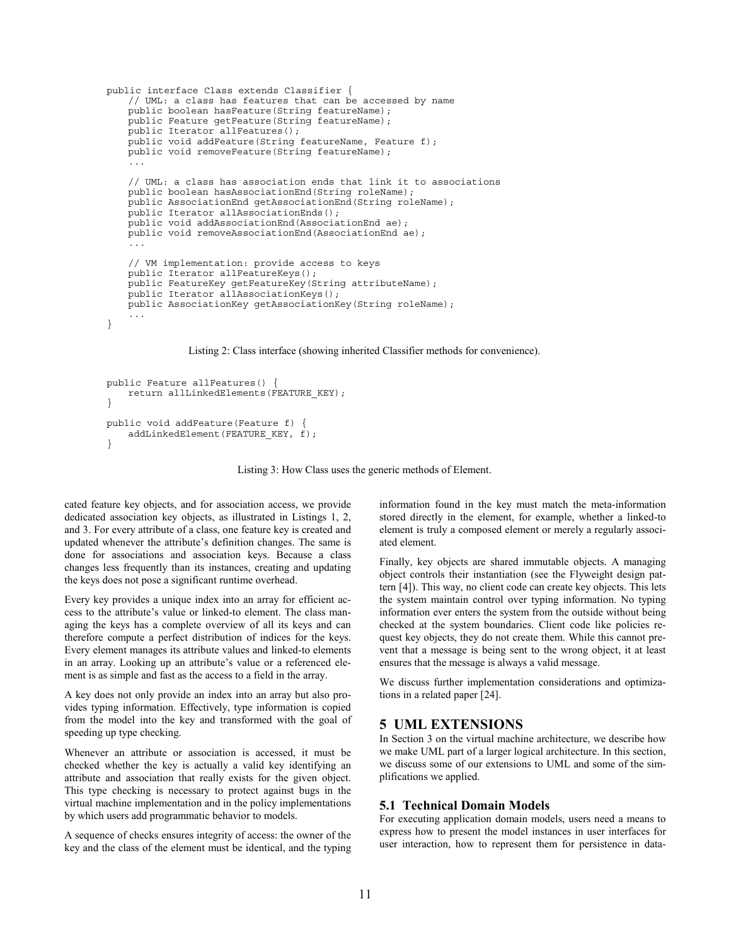```
public interface Class extends Classifier {
    // UML: a class has features that can be accessed by name
   public boolean hasFeature(String featureName);
   public Feature getFeature(String featureName);
    public Iterator allFeatures();
   public void addFeature(String featureName, Feature f);
   public void removeFeature(String featureName);
    ...
    // UML: a class has association ends that link it to associations
   public boolean hasAssociationEnd(String roleName);
   public AssociationEnd getAssociationEnd(String roleName);
   public Iterator allAssociationEnds();
   public void addAssociationEnd(AssociationEnd ae);
   public void removeAssociationEnd(AssociationEnd ae);
    ...
    // VM implementation: provide access to keys
   public Iterator allFeatureKeys();
   public FeatureKey getFeatureKey(String attributeName);
   public Iterator allAssociationKeys();
   public AssociationKey getAssociationKey(String roleName);
    ...
}
```
Listing 2: Class interface (showing inherited Classifier methods for convenience).

```
public Feature allFeatures() {
   return allLinkedElements(FEATURE_KEY);
}
public void addFeature(Feature f) {
    addLinkedElement(FEATURE KEY, f);
}
```
Listing 3: How Class uses the generic methods of Element.

cated feature key objects, and for association access, we provide dedicated association key objects, as illustrated in Listings 1, 2, and 3. For every attribute of a class, one feature key is created and updated whenever the attribute's definition changes. The same is done for associations and association keys. Because a class changes less frequently than its instances, creating and updating the keys does not pose a significant runtime overhead.

Every key provides a unique index into an array for efficient access to the attribute's value or linked-to element. The class managing the keys has a complete overview of all its keys and can therefore compute a perfect distribution of indices for the keys. Every element manages its attribute values and linked-to elements in an array. Looking up an attribute's value or a referenced element is as simple and fast as the access to a field in the array.

A key does not only provide an index into an array but also provides typing information. Effectively, type information is copied from the model into the key and transformed with the goal of speeding up type checking.

Whenever an attribute or association is accessed, it must be checked whether the key is actually a valid key identifying an attribute and association that really exists for the given object. This type checking is necessary to protect against bugs in the virtual machine implementation and in the policy implementations by which users add programmatic behavior to models.

A sequence of checks ensures integrity of access: the owner of the key and the class of the element must be identical, and the typing

information found in the key must match the meta-information stored directly in the element, for example, whether a linked-to element is truly a composed element or merely a regularly associated element.

Finally, key objects are shared immutable objects. A managing object controls their instantiation (see the Flyweight design pattern [4]). This way, no client code can create key objects. This lets the system maintain control over typing information. No typing information ever enters the system from the outside without being checked at the system boundaries. Client code like policies request key objects, they do not create them. While this cannot prevent that a message is being sent to the wrong object, it at least ensures that the message is always a valid message.

We discuss further implementation considerations and optimizations in a related paper [24].

### **5 UML EXTENSIONS**

In Section 3 on the virtual machine architecture, we describe how we make UML part of a larger logical architecture. In this section, we discuss some of our extensions to UML and some of the simplifications we applied.

#### **5.1 Technical Domain Models**

For executing application domain models, users need a means to express how to present the model instances in user interfaces for user interaction, how to represent them for persistence in data-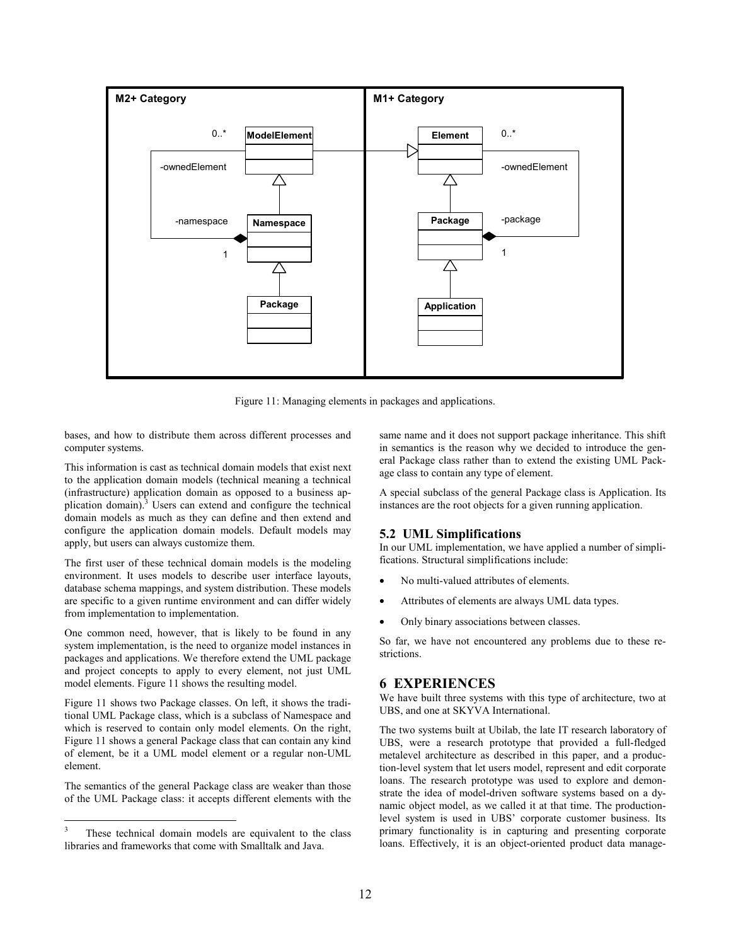

Figure 11: Managing elements in packages and applications.

bases, and how to distribute them across different processes and computer systems.

This information is cast as technical domain models that exist next to the application domain models (technical meaning a technical (infrastructure) application domain as opposed to a business application domain).<sup>3</sup> Users can extend and configure the technical domain models as much as they can define and then extend and configure the application domain models. Default models may apply, but users can always customize them.

The first user of these technical domain models is the modeling environment. It uses models to describe user interface layouts, database schema mappings, and system distribution. These models are specific to a given runtime environment and can differ widely from implementation to implementation.

One common need, however, that is likely to be found in any system implementation, is the need to organize model instances in packages and applications. We therefore extend the UML package and project concepts to apply to every element, not just UML model elements. Figure 11 shows the resulting model.

Figure 11 shows two Package classes. On left, it shows the traditional UML Package class, which is a subclass of Namespace and which is reserved to contain only model elements. On the right, Figure 11 shows a general Package class that can contain any kind of element, be it a UML model element or a regular non-UML element.

The semantics of the general Package class are weaker than those of the UML Package class: it accepts different elements with the

 $\overline{\phantom{a}}$ 

same name and it does not support package inheritance. This shift in semantics is the reason why we decided to introduce the general Package class rather than to extend the existing UML Package class to contain any type of element.

A special subclass of the general Package class is Application. Its instances are the root objects for a given running application.

#### **5.2 UML Simplifications**

In our UML implementation, we have applied a number of simplifications. Structural simplifications include:

- No multi-valued attributes of elements.
- Attributes of elements are always UML data types.
- Only binary associations between classes.

So far, we have not encountered any problems due to these restrictions.

### **6 EXPERIENCES**

We have built three systems with this type of architecture, two at UBS, and one at SKYVA International.

The two systems built at Ubilab, the late IT research laboratory of UBS, were a research prototype that provided a full-fledged metalevel architecture as described in this paper, and a production-level system that let users model, represent and edit corporate loans. The research prototype was used to explore and demonstrate the idea of model-driven software systems based on a dynamic object model, as we called it at that time. The productionlevel system is used in UBS' corporate customer business. Its primary functionality is in capturing and presenting corporate loans. Effectively, it is an object-oriented product data manage-

<sup>3</sup> These technical domain models are equivalent to the class libraries and frameworks that come with Smalltalk and Java.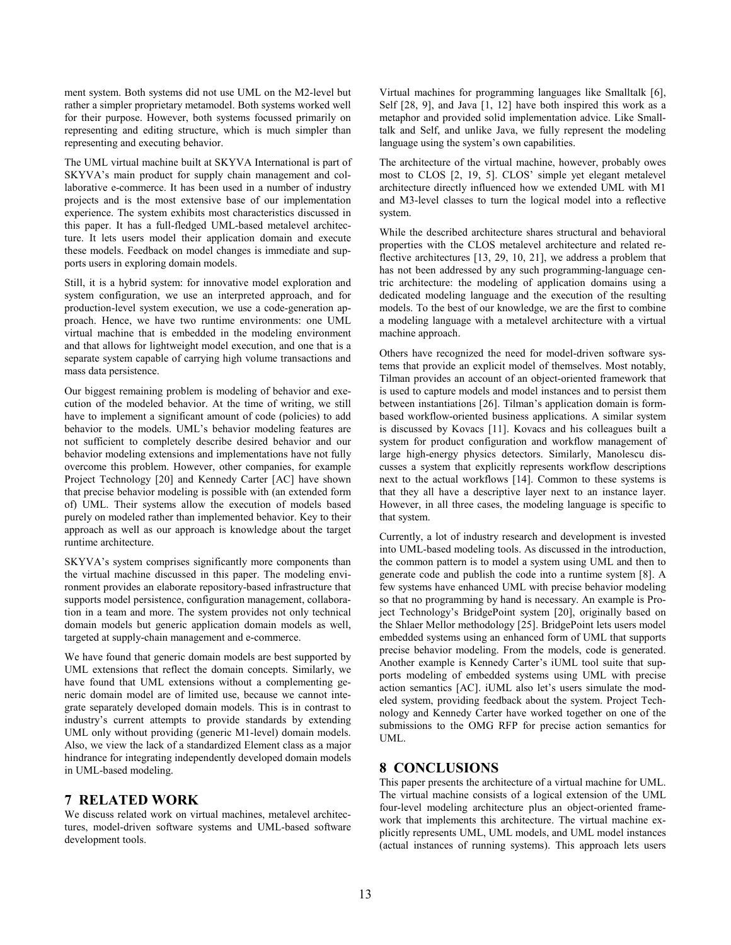ment system. Both systems did not use UML on the M2-level but rather a simpler proprietary metamodel. Both systems worked well for their purpose. However, both systems focussed primarily on representing and editing structure, which is much simpler than representing and executing behavior.

The UML virtual machine built at SKYVA International is part of SKYVA's main product for supply chain management and collaborative e-commerce. It has been used in a number of industry projects and is the most extensive base of our implementation experience. The system exhibits most characteristics discussed in this paper. It has a full-fledged UML-based metalevel architecture. It lets users model their application domain and execute these models. Feedback on model changes is immediate and supports users in exploring domain models.

Still, it is a hybrid system: for innovative model exploration and system configuration, we use an interpreted approach, and for production-level system execution, we use a code-generation approach. Hence, we have two runtime environments: one UML virtual machine that is embedded in the modeling environment and that allows for lightweight model execution, and one that is a separate system capable of carrying high volume transactions and mass data persistence.

Our biggest remaining problem is modeling of behavior and execution of the modeled behavior. At the time of writing, we still have to implement a significant amount of code (policies) to add behavior to the models. UML's behavior modeling features are not sufficient to completely describe desired behavior and our behavior modeling extensions and implementations have not fully overcome this problem. However, other companies, for example Project Technology [20] and Kennedy Carter [AC] have shown that precise behavior modeling is possible with (an extended form of) UML. Their systems allow the execution of models based purely on modeled rather than implemented behavior. Key to their approach as well as our approach is knowledge about the target runtime architecture.

SKYVA's system comprises significantly more components than the virtual machine discussed in this paper. The modeling environment provides an elaborate repository-based infrastructure that supports model persistence, configuration management, collaboration in a team and more. The system provides not only technical domain models but generic application domain models as well, targeted at supply-chain management and e-commerce.

We have found that generic domain models are best supported by UML extensions that reflect the domain concepts. Similarly, we have found that UML extensions without a complementing generic domain model are of limited use, because we cannot integrate separately developed domain models. This is in contrast to industry's current attempts to provide standards by extending UML only without providing (generic M1-level) domain models. Also, we view the lack of a standardized Element class as a major hindrance for integrating independently developed domain models in UML-based modeling.

# **7 RELATED WORK**

We discuss related work on virtual machines, metalevel architectures, model-driven software systems and UML-based software development tools.

Virtual machines for programming languages like Smalltalk [6], Self [28, 9], and Java [1, 12] have both inspired this work as a metaphor and provided solid implementation advice. Like Smalltalk and Self, and unlike Java, we fully represent the modeling language using the system's own capabilities.

The architecture of the virtual machine, however, probably owes most to CLOS [2, 19, 5]. CLOS' simple yet elegant metalevel architecture directly influenced how we extended UML with M1 and M3-level classes to turn the logical model into a reflective system.

While the described architecture shares structural and behavioral properties with the CLOS metalevel architecture and related reflective architectures [13, 29, 10, 21], we address a problem that has not been addressed by any such programming-language centric architecture: the modeling of application domains using a dedicated modeling language and the execution of the resulting models. To the best of our knowledge, we are the first to combine a modeling language with a metalevel architecture with a virtual machine approach.

Others have recognized the need for model-driven software systems that provide an explicit model of themselves. Most notably, Tilman provides an account of an object-oriented framework that is used to capture models and model instances and to persist them between instantiations [26]. Tilman's application domain is formbased workflow-oriented business applications. A similar system is discussed by Kovacs [11]. Kovacs and his colleagues built a system for product configuration and workflow management of large high-energy physics detectors. Similarly, Manolescu discusses a system that explicitly represents workflow descriptions next to the actual workflows [14]. Common to these systems is that they all have a descriptive layer next to an instance layer. However, in all three cases, the modeling language is specific to that system.

Currently, a lot of industry research and development is invested into UML-based modeling tools. As discussed in the introduction, the common pattern is to model a system using UML and then to generate code and publish the code into a runtime system [8]. A few systems have enhanced UML with precise behavior modeling so that no programming by hand is necessary. An example is Project Technology's BridgePoint system [20], originally based on the Shlaer Mellor methodology [25]. BridgePoint lets users model embedded systems using an enhanced form of UML that supports precise behavior modeling. From the models, code is generated. Another example is Kennedy Carter's iUML tool suite that supports modeling of embedded systems using UML with precise action semantics [AC]. iUML also let's users simulate the modeled system, providing feedback about the system. Project Technology and Kennedy Carter have worked together on one of the submissions to the OMG RFP for precise action semantics for UML.

# **8 CONCLUSIONS**

This paper presents the architecture of a virtual machine for UML. The virtual machine consists of a logical extension of the UML four-level modeling architecture plus an object-oriented framework that implements this architecture. The virtual machine explicitly represents UML, UML models, and UML model instances (actual instances of running systems). This approach lets users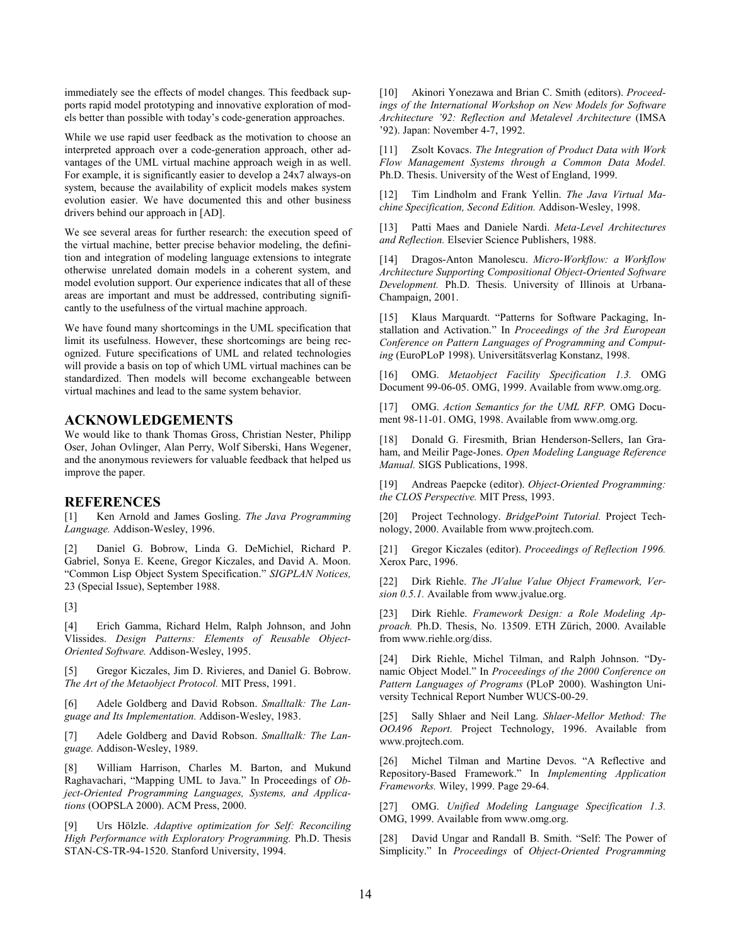immediately see the effects of model changes. This feedback supports rapid model prototyping and innovative exploration of models better than possible with today's code-generation approaches.

While we use rapid user feedback as the motivation to choose an interpreted approach over a code-generation approach, other advantages of the UML virtual machine approach weigh in as well. For example, it is significantly easier to develop a 24x7 always-on system, because the availability of explicit models makes system evolution easier. We have documented this and other business drivers behind our approach in [AD].

We see several areas for further research: the execution speed of the virtual machine, better precise behavior modeling, the definition and integration of modeling language extensions to integrate otherwise unrelated domain models in a coherent system, and model evolution support. Our experience indicates that all of these areas are important and must be addressed, contributing significantly to the usefulness of the virtual machine approach.

We have found many shortcomings in the UML specification that limit its usefulness. However, these shortcomings are being recognized. Future specifications of UML and related technologies will provide a basis on top of which UML virtual machines can be standardized. Then models will become exchangeable between virtual machines and lead to the same system behavior.

# **ACKNOWLEDGEMENTS**

We would like to thank Thomas Gross, Christian Nester, Philipp Oser, Johan Ovlinger, Alan Perry, Wolf Siberski, Hans Wegener, and the anonymous reviewers for valuable feedback that helped us improve the paper.

# **REFERENCES**

[1] Ken Arnold and James Gosling. *The Java Programming Language.* Addison-Wesley, 1996.

[2] Daniel G. Bobrow, Linda G. DeMichiel, Richard P. Gabriel, Sonya E. Keene, Gregor Kiczales, and David A. Moon. "Common Lisp Object System Specification." *SIGPLAN Notices,* 23 (Special Issue), September 1988.

[3]

[4] Erich Gamma, Richard Helm, Ralph Johnson, and John Vlissides. *Design Patterns: Elements of Reusable Object-Oriented Software.* Addison-Wesley, 1995.

[5] Gregor Kiczales, Jim D. Rivieres, and Daniel G. Bobrow. *The Art of the Metaobject Protocol.* MIT Press, 1991.

[6] Adele Goldberg and David Robson. *Smalltalk: The Language and Its Implementation.* Addison-Wesley, 1983.

[7] Adele Goldberg and David Robson. *Smalltalk: The Language.* Addison-Wesley, 1989.

[8] William Harrison, Charles M. Barton, and Mukund Raghavachari, "Mapping UML to Java." In Proceedings of *Object-Oriented Programming Languages, Systems, and Applications* (OOPSLA 2000). ACM Press, 2000.

[9] Urs Hölzle. *Adaptive optimization for Self: Reconciling High Performance with Exploratory Programming.* Ph.D. Thesis STAN-CS-TR-94-1520. Stanford University, 1994.

[10] Akinori Yonezawa and Brian C. Smith (editors). *Proceedings of the International Workshop on New Models for Software Architecture '92: Reflection and Metalevel Architecture* (IMSA '92). Japan: November 4-7, 1992.

[11] Zsolt Kovacs. *The Integration of Product Data with Work Flow Management Systems through a Common Data Model.*  Ph.D. Thesis. University of the West of England, 1999.

[12] Tim Lindholm and Frank Yellin. *The Java Virtual Machine Specification, Second Edition.* Addison-Wesley, 1998.

[13] Patti Maes and Daniele Nardi. *Meta-Level Architectures and Reflection.* Elsevier Science Publishers, 1988.

[14] Dragos-Anton Manolescu. *Micro-Workflow: a Workflow Architecture Supporting Compositional Object-Oriented Software Development.* Ph.D. Thesis. University of Illinois at Urbana-Champaign, 2001.

[15] Klaus Marquardt. "Patterns for Software Packaging, Installation and Activation." In *Proceedings of the 3rd European Conference on Pattern Languages of Programming and Computing* (EuroPLoP 1998). Universitätsverlag Konstanz, 1998.

[16] OMG. *Metaobject Facility Specification 1.3.* OMG Document 99-06-05. OMG, 1999. Available from www.omg.org.

[17] OMG. *Action Semantics for the UML RFP.* OMG Document 98-11-01. OMG, 1998. Available from www.omg.org.

[18] Donald G. Firesmith, Brian Henderson-Sellers, Ian Graham, and Meilir Page-Jones. *Open Modeling Language Reference Manual.* SIGS Publications, 1998.

[19] Andreas Paepcke (editor). *Object-Oriented Programming: the CLOS Perspective.* MIT Press, 1993.

[20] Project Technology. *BridgePoint Tutorial.* Project Technology, 2000. Available from www.projtech.com.

[21] Gregor Kiczales (editor). *Proceedings of Reflection 1996.*  Xerox Parc, 1996.

[22] Dirk Riehle. *The JValue Value Object Framework, Version 0.5.1.* Available from www.jvalue.org.

[23] Dirk Riehle. *Framework Design: a Role Modeling Approach.* Ph.D. Thesis, No. 13509. ETH Zürich, 2000. Available from www.riehle.org/diss.

[24] Dirk Riehle, Michel Tilman, and Ralph Johnson. "Dynamic Object Model." In *Proceedings of the 2000 Conference on Pattern Languages of Programs* (PLoP 2000). Washington University Technical Report Number WUCS-00-29.

[25] Sally Shlaer and Neil Lang. *Shlaer-Mellor Method: The OOA96 Report.* Project Technology, 1996. Available from www.projtech.com.

[26] Michel Tilman and Martine Devos. "A Reflective and Repository-Based Framework." In *Implementing Application Frameworks.* Wiley, 1999. Page 29-64.

[27] OMG. *Unified Modeling Language Specification 1.3.*  OMG, 1999. Available from www.omg.org.

[28] David Ungar and Randall B. Smith. "Self: The Power of Simplicity." In *Proceedings* of *Object-Oriented Programming*